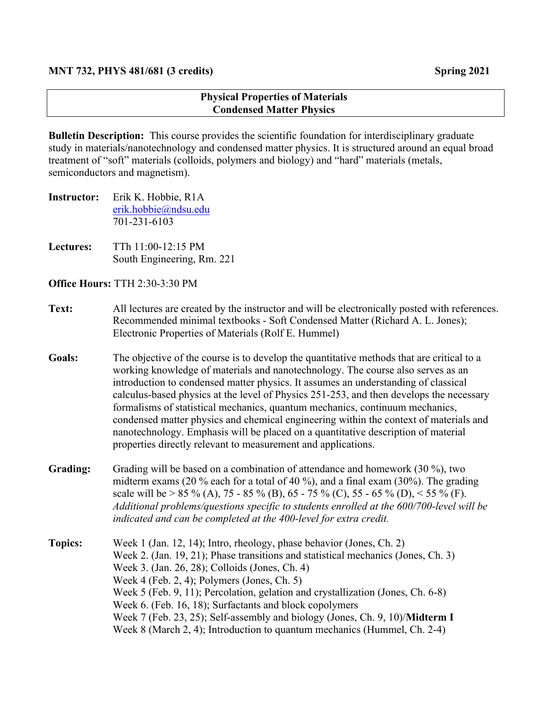## **Physical Properties of Materials Condensed Matter Physics**

**Bulletin Description:** This course provides the scientific foundation for interdisciplinary graduate study in materials/nanotechnology and condensed matter physics. It is structured around an equal broad treatment of "soft" materials (colloids, polymers and biology) and "hard" materials (metals, semiconductors and magnetism).

- **Instructor:** Erik K. Hobbie, R1A erik.hobbie@ndsu.edu 701-231-6103
- **Lectures:** TTh 11:00-12:15 PM South Engineering, Rm. 221

**Office Hours:** TTH 2:30-3:30 PM

- **Text:** All lectures are created by the instructor and will be electronically posted with references. Recommended minimal textbooks - Soft Condensed Matter (Richard A. L. Jones); Electronic Properties of Materials (Rolf E. Hummel)
- **Goals:** The objective of the course is to develop the quantitative methods that are critical to a working knowledge of materials and nanotechnology. The course also serves as an introduction to condensed matter physics. It assumes an understanding of classical calculus-based physics at the level of Physics 251-253, and then develops the necessary formalisms of statistical mechanics, quantum mechanics, continuum mechanics, condensed matter physics and chemical engineering within the context of materials and nanotechnology. Emphasis will be placed on a quantitative description of material properties directly relevant to measurement and applications.
- Grading: Grading will be based on a combination of attendance and homework (30 %), two midterm exams (20 % each for a total of 40 %), and a final exam (30%). The grading scale will be > 85 % (A), 75 - 85 % (B), 65 - 75 % (C), 55 - 65 % (D), < 55 % (F). *Additional problems/questions specific to students enrolled at the 600/700-level will be indicated and can be completed at the 400-level for extra credit.*
- **Topics:** Week 1 (Jan. 12, 14); Intro, rheology, phase behavior (Jones, Ch. 2) Week 2. (Jan. 19, 21); Phase transitions and statistical mechanics (Jones, Ch. 3) Week 3. (Jan. 26, 28); Colloids (Jones, Ch. 4) Week 4 (Feb. 2, 4); Polymers (Jones, Ch. 5) Week 5 (Feb. 9, 11); Percolation, gelation and crystallization (Jones, Ch. 6-8) Week 6. (Feb. 16, 18); Surfactants and block copolymers Week 7 (Feb. 23, 25); Self-assembly and biology (Jones, Ch. 9, 10)/**Midterm I** Week 8 (March 2, 4); Introduction to quantum mechanics (Hummel, Ch. 2-4)